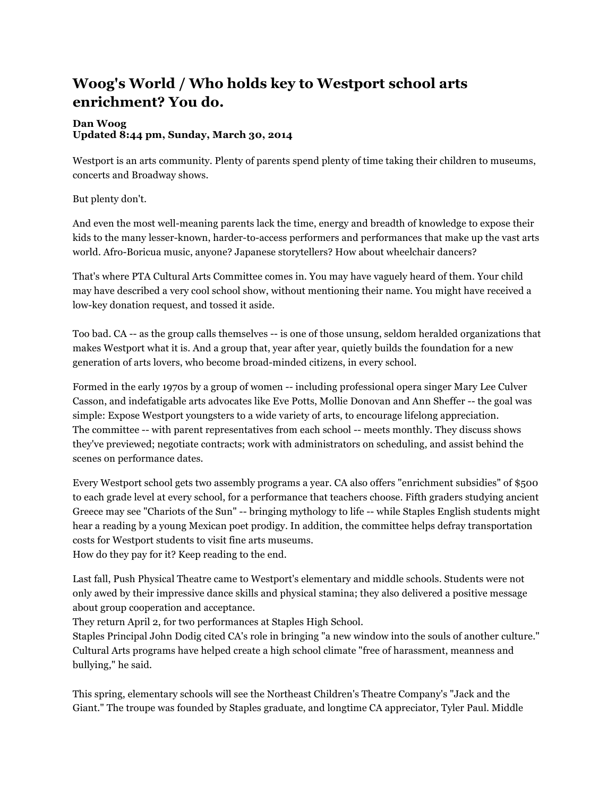## **Woog's World / Who holds key to Westport school arts enrichment? You do.**

## **Dan Woog Updated 8:44 pm, Sunday, March 30, 2014**

Westport is an arts community. Plenty of parents spend plenty of time taking their children to museums, concerts and Broadway shows.

But plenty don't.

And even the most well-meaning parents lack the time, energy and breadth of knowledge to expose their kids to the many lesser-known, harder-to-access performers and performances that make up the vast arts world. Afro-Boricua music, anyone? Japanese storytellers? How about wheelchair dancers?

That's where PTA Cultural Arts Committee comes in. You may have vaguely heard of them. Your child may have described a very cool school show, without mentioning their name. You might have received a low-key donation request, and tossed it aside.

Too bad. CA -- as the group calls themselves -- is one of those unsung, seldom heralded organizations that makes Westport what it is. And a group that, year after year, quietly builds the foundation for a new generation of arts lovers, who become broad-minded citizens, in every school.

Formed in the early 1970s by a group of women -- including professional opera singer Mary Lee Culver Casson, and indefatigable arts advocates like Eve Potts, Mollie Donovan and Ann Sheffer -- the goal was simple: Expose Westport youngsters to a wide variety of arts, to encourage lifelong appreciation. The committee -- with parent representatives from each school -- meets monthly. They discuss shows they've previewed; negotiate contracts; work with administrators on scheduling, and assist behind the scenes on performance dates.

Every Westport school gets two assembly programs a year. CA also offers "enrichment subsidies" of \$500 to each grade level at every school, for a performance that teachers choose. Fifth graders studying ancient Greece may see "Chariots of the Sun" -- bringing mythology to life -- while Staples English students might hear a reading by a young Mexican poet prodigy. In addition, the committee helps defray transportation costs for Westport students to visit fine arts museums.

How do they pay for it? Keep reading to the end.

Last fall, Push Physical Theatre came to Westport's elementary and middle schools. Students were not only awed by their impressive dance skills and physical stamina; they also delivered a positive message about group cooperation and acceptance.

They return April 2, for two performances at Staples High School.

Staples Principal John Dodig cited CA's role in bringing "a new window into the souls of another culture." Cultural Arts programs have helped create a high school climate "free of harassment, meanness and bullying," he said.

This spring, elementary schools will see the Northeast Children's Theatre Company's "Jack and the Giant." The troupe was founded by Staples graduate, and longtime CA appreciator, Tyler Paul. Middle